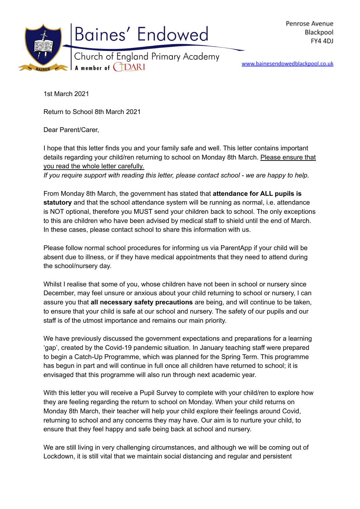

www.bainesendowedblackpool.co.uk

1st March 2021

Return to School 8th March 2021

Dear Parent/Carer,

I hope that this letter finds you and your family safe and well. This letter contains important details regarding your child/ren returning to school on Monday 8th March. Please ensure that you read the whole letter carefully.

*If you require support with reading this letter, please contact school - we are happy to help.*

From Monday 8th March, the government has stated that **attendance for ALL pupils is statutory** and that the school attendance system will be running as normal, i.e. attendance is NOT optional, therefore you MUST send your children back to school. The only exceptions to this are children who have been advised by medical staff to shield until the end of March. In these cases, please contact school to share this information with us.

Please follow normal school procedures for informing us via ParentApp if your child will be absent due to illness, or if they have medical appointments that they need to attend during the school/nursery day.

Whilst I realise that some of you, whose children have not been in school or nursery since December, may feel unsure or anxious about your child returning to school or nursery, I can assure you that **all necessary safety precautions** are being, and will continue to be taken, to ensure that your child is safe at our school and nursery. The safety of our pupils and our staff is of the utmost importance and remains our main priority.

We have previously discussed the government expectations and preparations for a learning 'gap', created by the Covid-19 pandemic situation. In January teaching staff were prepared to begin a Catch-Up Programme, which was planned for the Spring Term. This programme has begun in part and will continue in full once all children have returned to school; it is envisaged that this programme will also run through next academic year.

With this letter you will receive a Pupil Survey to complete with your child/ren to explore how they are feeling regarding the return to school on Monday. When your child returns on Monday 8th March, their teacher will help your child explore their feelings around Covid, returning to school and any concerns they may have. Our aim is to nurture your child, to ensure that they feel happy and safe being back at school and nursery.

We are still living in very challenging circumstances, and although we will be coming out of Lockdown, it is still vital that we maintain social distancing and regular and persistent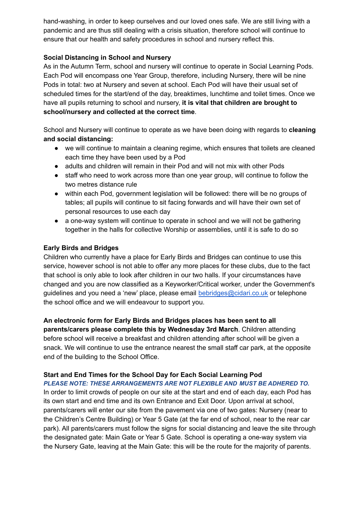hand-washing, in order to keep ourselves and our loved ones safe. We are still living with a pandemic and are thus still dealing with a crisis situation, therefore school will continue to ensure that our health and safety procedures in school and nursery reflect this.

### **Social Distancing in School and Nursery**

As in the Autumn Term, school and nursery will continue to operate in Social Learning Pods. Each Pod will encompass one Year Group, therefore, including Nursery, there will be nine Pods in total: two at Nursery and seven at school. Each Pod will have their usual set of scheduled times for the start/end of the day, breaktimes, lunchtime and toilet times. Once we have all pupils returning to school and nursery, **it is vital that children are brought to school/nursery and collected at the correct time**.

School and Nursery will continue to operate as we have been doing with regards to **cleaning and social distancing:**

- we will continue to maintain a cleaning regime, which ensures that toilets are cleaned each time they have been used by a Pod
- adults and children will remain in their Pod and will not mix with other Pods
- staff who need to work across more than one year group, will continue to follow the two metres distance rule
- within each Pod, government legislation will be followed: there will be no groups of tables; all pupils will continue to sit facing forwards and will have their own set of personal resources to use each day
- a one-way system will continue to operate in school and we will not be gathering together in the halls for collective Worship or assemblies, until it is safe to do so

# **Early Birds and Bridges**

end of the building to the School Office.

Children who currently have a place for Early Birds and Bridges can continue to use this service, however school is not able to offer any more places for these clubs, due to the fact that school is only able to look after children in our two halls. If your circumstances have changed and you are now classified as a Keyworker/Critical worker, under the Government's guidelines and you need a 'new' place, please email [bebridges@cidari.co.uk](mailto:bebridges@cidari.co.uk) or telephone the school office and we will endeavour to support you.

**An electronic form for Early Birds and Bridges places has been sent to all parents/carers please complete this by Wednesday 3rd March**. Children attending before school will receive a breakfast and children attending after school will be given a snack. We will continue to use the entrance nearest the small staff car park, at the opposite

# **Start and End Times for the School Day for Each Social Learning Pod**

*PLEASE NOTE: THESE ARRANGEMENTS ARE NOT FLEXIBLE AND MUST BE ADHERED TO.*

In order to limit crowds of people on our site at the start and end of each day, each Pod has its own start and end time and its own Entrance and Exit Door. Upon arrival at school, parents/carers will enter our site from the pavement via one of two gates: Nursery (near to the Children's Centre Building) or Year 5 Gate (at the far end of school, near to the rear car park). All parents/carers must follow the signs for social distancing and leave the site through the designated gate: Main Gate or Year 5 Gate. School is operating a one-way system via the Nursery Gate, leaving at the Main Gate: this will be the route for the majority of parents.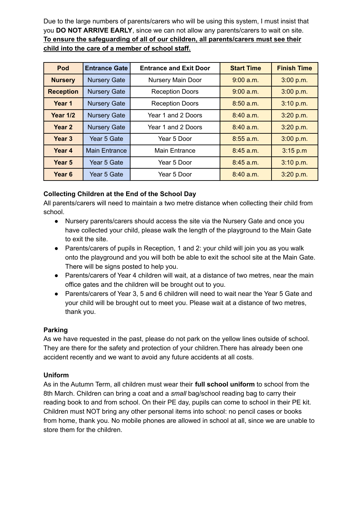Due to the large numbers of parents/carers who will be using this system, I must insist that you **DO NOT ARRIVE EARLY**, since we can not allow any parents/carers to wait on site. **To ensure the safeguarding of all of our children, all parents/carers must see their child into the care of a member of school staff.**

| Pod               | <b>Entrance Gate</b> | <b>Entrance and Exit Door</b> | <b>Start Time</b> | <b>Finish Time</b> |
|-------------------|----------------------|-------------------------------|-------------------|--------------------|
| <b>Nursery</b>    | <b>Nursery Gate</b>  | <b>Nursery Main Door</b>      | $9:00$ a.m.       | 3:00 p.m.          |
| <b>Reception</b>  | <b>Nursery Gate</b>  | <b>Reception Doors</b>        | 9:00 a.m.         | 3:00 p.m.          |
| Year 1            | <b>Nursery Gate</b>  | <b>Reception Doors</b>        | $8:50$ a.m.       | 3:10 p.m.          |
| <b>Year 1/2</b>   | <b>Nursery Gate</b>  | Year 1 and 2 Doors            | $8:40$ a.m.       | 3:20 p.m.          |
| Year <sub>2</sub> | <b>Nursery Gate</b>  | Year 1 and 2 Doors            | $8:40$ a.m.       | 3:20 p.m.          |
| Year <sub>3</sub> | Year 5 Gate          | Year 5 Door                   | $8:55$ a.m.       | 3:00 p.m.          |
| Year 4            | <b>Main Entrance</b> | Main Entrance                 | $8:45$ a.m.       | 3:15 p.m           |
| Year 5            | Year 5 Gate          | Year 5 Door                   | $8:45$ a.m.       | 3:10 p.m.          |
| Year <sub>6</sub> | Year 5 Gate          | Year 5 Door                   | $8:40$ a.m.       | 3:20 p.m.          |

# **Collecting Children at the End of the School Day**

All parents/carers will need to maintain a two metre distance when collecting their child from school.

- Nursery parents/carers should access the site via the Nursery Gate and once you have collected your child, please walk the length of the playground to the Main Gate to exit the site.
- Parents/carers of pupils in Reception, 1 and 2: your child will join you as you walk onto the playground and you will both be able to exit the school site at the Main Gate. There will be signs posted to help you.
- Parents/carers of Year 4 children will wait, at a distance of two metres, near the main office gates and the children will be brought out to you.
- Parents/carers of Year 3, 5 and 6 children will need to wait near the Year 5 Gate and your child will be brought out to meet you. Please wait at a distance of two metres, thank you.

### **Parking**

As we have requested in the past, please do not park on the yellow lines outside of school. They are there for the safety and protection of your children.There has already been one accident recently and we want to avoid any future accidents at all costs.

### **Uniform**

As in the Autumn Term, all children must wear their **full school uniform** to school from the 8th March. Children can bring a coat and a *small* bag/school reading bag to carry their reading book to and from school. On their PE day, pupils can come to school in their PE kit. Children must NOT bring any other personal items into school: no pencil cases or books from home, thank you. No mobile phones are allowed in school at all, since we are unable to store them for the children.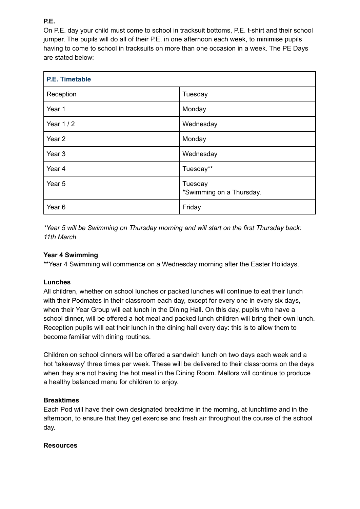**P.E.**

On P.E. day your child must come to school in tracksuit bottoms, P.E. t-shirt and their school jumper. The pupils will do all of their P.E. in one afternoon each week, to minimise pupils having to come to school in tracksuits on more than one occasion in a week. The PE Days are stated below:

| <b>P.E. Timetable</b> |                                     |  |  |
|-----------------------|-------------------------------------|--|--|
| Reception             | Tuesday                             |  |  |
| Year 1                | Monday                              |  |  |
| Year 1 / 2            | Wednesday                           |  |  |
| Year <sub>2</sub>     | Monday                              |  |  |
| Year <sub>3</sub>     | Wednesday                           |  |  |
| Year 4                | Tuesday**                           |  |  |
| Year <sub>5</sub>     | Tuesday<br>*Swimming on a Thursday. |  |  |
| Year <sub>6</sub>     | Friday                              |  |  |

*\*Year 5 will be Swimming on Thursday morning and will start on the first Thursday back: 11th March*

### **Year 4 Swimming**

\*\*Year 4 Swimming will commence on a Wednesday morning after the Easter Holidays.

### **Lunches**

All children, whether on school lunches or packed lunches will continue to eat their lunch with their Podmates in their classroom each day, except for every one in every six days, when their Year Group will eat lunch in the Dining Hall. On this day, pupils who have a school dinner, will be offered a hot meal and packed lunch children will bring their own lunch. Reception pupils will eat their lunch in the dining hall every day: this is to allow them to become familiar with dining routines.

Children on school dinners will be offered a sandwich lunch on two days each week and a hot 'takeaway' three times per week. These will be delivered to their classrooms on the days when they are not having the hot meal in the Dining Room. Mellors will continue to produce a healthy balanced menu for children to enjoy.

### **Breaktimes**

Each Pod will have their own designated breaktime in the morning, at lunchtime and in the afternoon, to ensure that they get exercise and fresh air throughout the course of the school day.

### **Resources**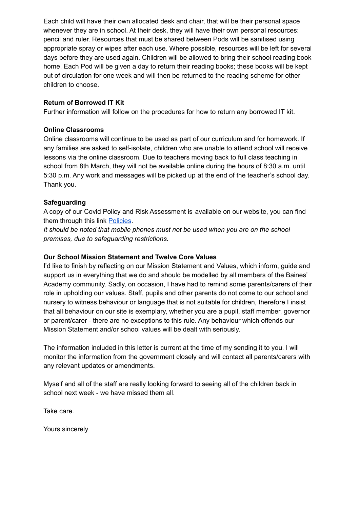Each child will have their own allocated desk and chair, that will be their personal space whenever they are in school. At their desk, they will have their own personal resources: pencil and ruler. Resources that must be shared between Pods will be sanitised using appropriate spray or wipes after each use. Where possible, resources will be left for several days before they are used again. Children will be allowed to bring their school reading book home. Each Pod will be given a day to return their reading books; these books will be kept out of circulation for one week and will then be returned to the reading scheme for other children to choose.

### **Return of Borrowed IT Kit**

Further information will follow on the procedures for how to return any borrowed IT kit.

#### **Online Classrooms**

Online classrooms will continue to be used as part of our curriculum and for homework. If any families are asked to self-isolate, children who are unable to attend school will receive lessons via the online classroom. Due to teachers moving back to full class teaching in school from 8th March, they will not be available online during the hours of 8:30 a.m. until 5:30 p.m. Any work and messages will be picked up at the end of the teacher's school day. Thank you.

#### **Safeguarding**

A copy of our Covid Policy and Risk Assessment is available on our website, you can find them through this link [Policies](https://bainesendowedblackpool.co.uk/policies-2/).

*It should be noted that mobile phones must not be used when you are on the school premises, due to safeguarding restrictions.*

#### **Our School Mission Statement and Twelve Core Values**

I'd like to finish by reflecting on our Mission Statement and Values, which inform, guide and support us in everything that we do and should be modelled by all members of the Baines' Academy community. Sadly, on occasion, I have had to remind some parents/carers of their role in upholding our values. Staff, pupils and other parents do not come to our school and nursery to witness behaviour or language that is not suitable for children, therefore I insist that all behaviour on our site is exemplary, whether you are a pupil, staff member, governor or parent/carer - there are no exceptions to this rule. Any behaviour which offends our Mission Statement and/or school values will be dealt with seriously.

The information included in this letter is current at the time of my sending it to you. I will monitor the information from the government closely and will contact all parents/carers with any relevant updates or amendments.

Myself and all of the staff are really looking forward to seeing all of the children back in school next week - we have missed them all.

Take care.

Yours sincerely